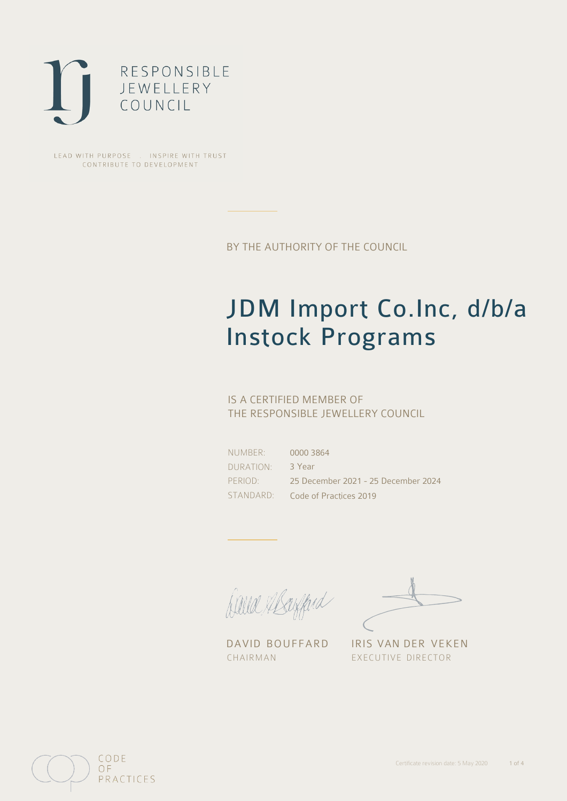

LEAD WITH PURPOSE . INSPIRE WITH TRUST CONTRIBUTE TO DEVELOPMENT

BY THE AUTHORITY OF THE COUNCIL

# JDM Import Co.Inc, d/b/a Instock Programs

## IS A CERTIFIED MEMBER OF THE RESPONSIBLE JEWELLERY COUNCIL

NUMBER: DURATION: PERIOD:

STANDARD: Code of Practices 2019 0000 3864 3 Year 25 December 2021 - 25 December 2024

David Abanford

DAVID BOUFFARD IRIS VAN DER VEKEN CHAIRMAN EXECUTIVE DIRECTOR

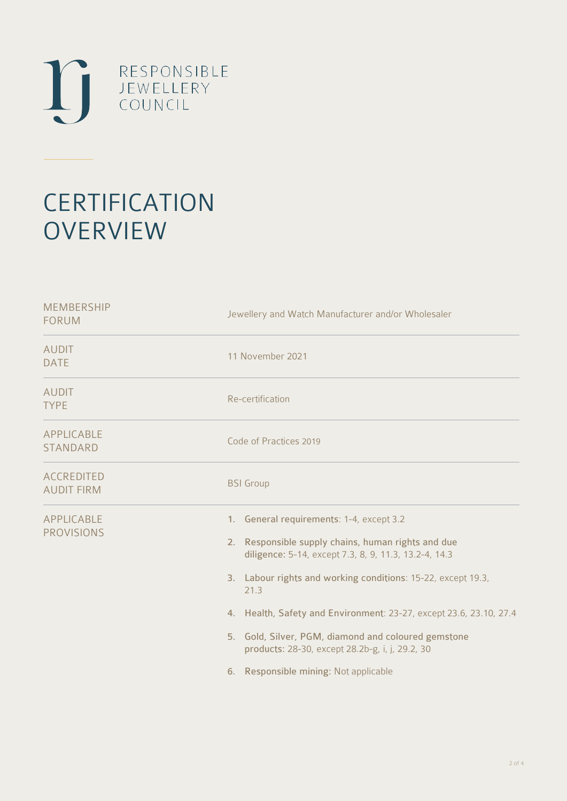

# **CERTIFICATION OVERVIEW**

| <b>MEMBERSHIP</b><br><b>FORUM</b>      | Jewellery and Watch Manufacturer and/or Wholesaler                                                                                                                                                                                                                                                                                                                                                                                                       |
|----------------------------------------|----------------------------------------------------------------------------------------------------------------------------------------------------------------------------------------------------------------------------------------------------------------------------------------------------------------------------------------------------------------------------------------------------------------------------------------------------------|
| <b>AUDIT</b><br><b>DATE</b>            | 11 November 2021                                                                                                                                                                                                                                                                                                                                                                                                                                         |
| <b>AUDIT</b><br><b>TYPE</b>            | Re-certification                                                                                                                                                                                                                                                                                                                                                                                                                                         |
| APPLICABLE<br><b>STANDARD</b>          | Code of Practices 2019                                                                                                                                                                                                                                                                                                                                                                                                                                   |
| <b>ACCREDITED</b><br><b>AUDIT FIRM</b> | <b>BSI</b> Group                                                                                                                                                                                                                                                                                                                                                                                                                                         |
| APPLICABLE<br><b>PROVISIONS</b>        | 1. General requirements: 1-4, except 3.2<br>2. Responsible supply chains, human rights and due<br>diligence: 5-14, except 7.3, 8, 9, 11.3, 13.2-4, 14.3<br>3. Labour rights and working conditions: 15-22, except 19.3,<br>21.3<br>4. Health, Safety and Environment: 23-27, except 23.6, 23.10, 27.4<br>5. Gold, Silver, PGM, diamond and coloured gemstone<br>products: 28-30, except 28.2b-g, i, j, 29.2, 30<br>6. Responsible mining: Not applicable |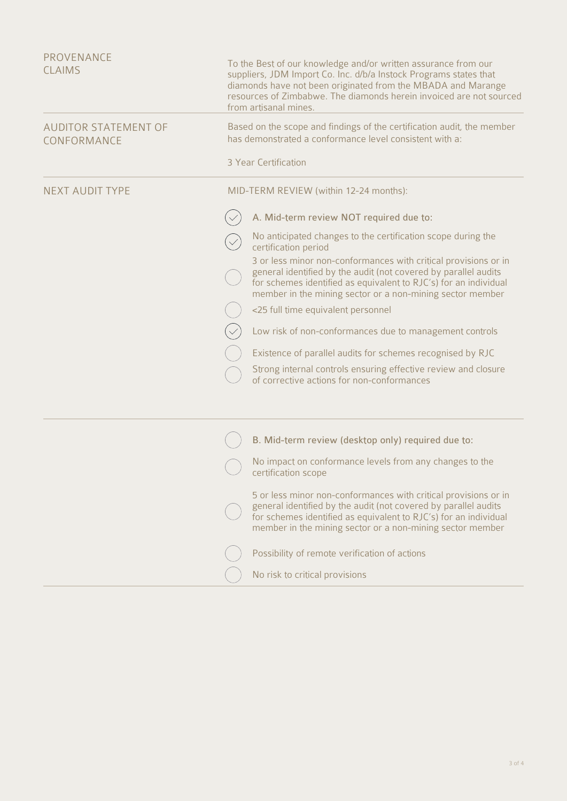| <b>PROVENANCE</b><br><b>CLAIMS</b>         | To the Best of our knowledge and/or written assurance from our<br>suppliers, JDM Import Co. Inc. d/b/a Instock Programs states that<br>diamonds have not been originated from the MBADA and Marange<br>resources of Zimbabwe. The diamonds herein invoiced are not sourced<br>from artisanal mines. |
|--------------------------------------------|-----------------------------------------------------------------------------------------------------------------------------------------------------------------------------------------------------------------------------------------------------------------------------------------------------|
| <b>AUDITOR STATEMENT OF</b><br>CONFORMANCE | Based on the scope and findings of the certification audit, the member<br>has demonstrated a conformance level consistent with a:                                                                                                                                                                   |
|                                            | 3 Year Certification                                                                                                                                                                                                                                                                                |
| <b>NEXT AUDIT TYPE</b>                     | MID-TERM REVIEW (within 12-24 months):                                                                                                                                                                                                                                                              |
|                                            | A. Mid-term review NOT required due to:                                                                                                                                                                                                                                                             |
|                                            | No anticipated changes to the certification scope during the<br>certification period                                                                                                                                                                                                                |
|                                            | 3 or less minor non-conformances with critical provisions or in<br>general identified by the audit (not covered by parallel audits<br>for schemes identified as equivalent to RJC's) for an individual<br>member in the mining sector or a non-mining sector member                                 |
|                                            | <25 full time equivalent personnel                                                                                                                                                                                                                                                                  |
|                                            | Low risk of non-conformances due to management controls                                                                                                                                                                                                                                             |
|                                            | Existence of parallel audits for schemes recognised by RJC                                                                                                                                                                                                                                          |
|                                            | Strong internal controls ensuring effective review and closure<br>of corrective actions for non-conformances                                                                                                                                                                                        |
|                                            |                                                                                                                                                                                                                                                                                                     |
|                                            | B. Mid-term review (desktop only) required due to:                                                                                                                                                                                                                                                  |
|                                            | No impact on conformance levels from any changes to the<br>certification scope                                                                                                                                                                                                                      |
|                                            | 5 or less minor non-conformances with critical provisions or in<br>general identified by the audit (not covered by parallel audits<br>for schemes identified as equivalent to RJC's) for an individual<br>member in the mining sector or a non-mining sector member                                 |
|                                            | Possibility of remote verification of actions                                                                                                                                                                                                                                                       |
|                                            | No risk to critical provisions                                                                                                                                                                                                                                                                      |